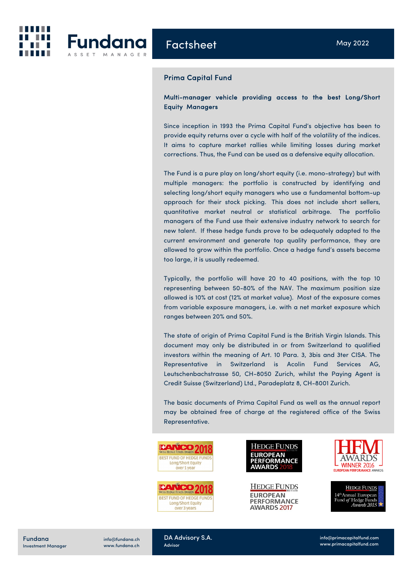

## Prima Capital Fund

# Multi-manager vehicle providing access to the best Long/Short Equity Managers

Since inception in 1993 the Prima Capital Fund's objective has been to provide equity returns over a cycle with half of the volatility of the indices. It aims to capture market rallies while limiting losses during market corrections. Thus, the Fund can be used as a defensive equity allocation.

The Fund is a pure play on long/short equity (i.e. mono-strategy) but with multiple managers: the portfolio is constructed by identifying and selecting long/short equity managers who use a fundamental bottom-up approach for their stock picking. This does not include short sellers, quantitative market neutral or statistical arbitrage. The portfolio managers of the Fund use their extensive industry network to search for new talent. If these hedge funds prove to be adequately adapted to the current environment and generate top quality performance, they are allowed to grow within the portfolio. Once a hedge fund's assets become too large, it is usually redeemed.

Typically, the portfolio will have 20 to 40 positions, with the top 10 representing between 50-80% of the NAV. The maximum position size allowed is 10% at cost (12% at market value). Most of the exposure comes from variable exposure managers, i.e. with a net market exposure which ranges between 20% and 50%.

The state of origin of Prima Capital Fund is the British Virgin Islands. This document may only be distributed in or from Switzerland to qualified investors within the meaning of Art. 10 Para. 3, 3bis and 3ter CISA. The Representative in Switzerland is Acolin Fund Services AG, Leutschenbachstrasse 50, CH-8050 Zurich, whilst the Paying Agent is Credit Suisse (Switzerland) Ltd., Paradeplatz 8, CH-8001 Zurich.

The basic documents of Prima Capital Fund as well as the annual report may be obtained free of charge at the registered office of the Swiss Representative.





**HEDGE FUNDS EUROPEAN PERFORMANCE AWARDS 2017** 



**HEDGE FUNDS** 14th Annual European Fund of Hedge Funds<br>Awards 2015

Fundana Investment Manager

info@fundana.ch www.fundana.ch DA Advisory S.A. Advisor

info@primacapitalfund.com www.primacapitalfund.com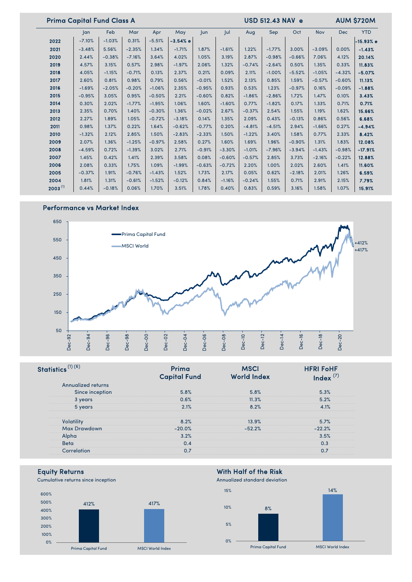| <b>Prima Capital Fund Class A</b> |               |          |          |          | <b>USD 512.43 NAV e</b> |            |          | <b>AUM \$720M</b> |          |          |            |            |             |
|-----------------------------------|---------------|----------|----------|----------|-------------------------|------------|----------|-------------------|----------|----------|------------|------------|-------------|
|                                   | <sub>an</sub> | Feb      | Mar      | Apr      | May                     | <b>Jun</b> | Jul      | Aug               | Sep      | Oct      | <b>Nov</b> | <b>Dec</b> | <b>YTD</b>  |
| 2022                              | $-7.10%$      | $-1.03%$ | 0.31%    | $-5.51%$ | $-3.54%$ e              |            |          |                   |          |          |            |            | $-15.93%$ e |
| 2021                              | $-3.48%$      | 5.56%    | $-2.35%$ | 1.34%    | $-1.71%$                | 1.87%      | $-1.61%$ | 1.22%             | $-1.77%$ | 3.00%    | $-3.09%$   | 0.00%      | $-1.43%$    |
| 2020                              | 2.44%         | $-0.38%$ | $-7.16%$ | 3.64%    | 4.02%                   | 1.05%      | 3.19%    | 2.87%             | $-0.98%$ | $-0.66%$ | 7.06%      | 4.12%      | 20.14%      |
| 2019                              | 4.57%         | 3.15%    | 0.57%    | 2.98%    | $-1.97%$                | 2.06%      | 1.32%    | $-0.74%$          | $-2.64%$ | 0.50%    | 1.35%      | 0.33%      | 11.83%      |
| 2018                              | 4.05%         | $-1.15%$ | $-0.71%$ | 0.13%    | 2.37%                   | 0.21%      | 0.09%    | 2.11%             | $-1.00%$ | $-5.52%$ | $-1.05%$   | $-4.32%$   | $-5.07%$    |
| 2017                              | 2.60%         | 0.81%    | 0.98%    | 0.79%    | 0.56%                   | $-0.01%$   | 1.52%    | 2.13%             | 0.85%    | 1.59%    | $-0.57%$   | $-0.60%$   | 11.13%      |
| 2016                              | $-1.69%$      | $-2.05%$ | $-0.20%$ | $-1.06%$ | 2.35%                   | $-0.95%$   | 0.93%    | 0.53%             | 1.23%    | $-0.97%$ | 0.16%      | $-0.09%$   | $-1.88%$    |
| 2015                              | $-0.95%$      | 3.05%    | 0.95%    | $-0.50%$ | 2.21%                   | $-0.60%$   | 0.82%    | $-1.86%$          | $-2.86%$ | 1.72%    | 1.47%      | 0.10%      | 3.43%       |
| 2014                              | 0.30%         | 2.02%    | $-1.77%$ | $-1.95%$ | 1.06%                   | 1.60%      | $-1.60%$ | 0.77%             | $-1.82%$ | 0.17%    | 1.33%      | 0.71%      | 0.71%       |
| 2013                              | 2.35%         | 0.70%    | 1.40%    | $-0.30%$ | 1.36%                   | $-0.02%$   | 2.67%    | $-0.37%$          | 2.54%    | 1.55%    | 1.19%      | 1.62%      | 15.66%      |
| 2012                              | 2.27%         | 1.89%    | 1.05%    | $-0.72%$ | $-3.18%$                | 0.14%      | 1.35%    | 2.09%             | 0.43%    | $-0.13%$ | 0.86%      | 0.56%      | 6.68%       |
| 2011                              | 0.98%         | 1.37%    | 0.22%    | 1.64%    | $-0.62%$                | $-0.77%$   | 0.20%    | $-4.81%$          | $-4.51%$ | 2.94%    | $-1.66%$   | 0.27%      | $-4.94%$    |
| 2010                              | $-1.32%$      | 2.12%    | 2.85%    | 1.50%    | $-2.83%$                | $-2.33%$   | 1.50%    | $-1.22%$          | 3.40%    | 1.58%    | 0.77%      | 2.33%      | 8.42%       |
| 2009                              | 2.07%         | 1.36%    | $-1.25%$ | $-0.97%$ | 2.58%                   | 0.27%      | 1.60%    | 1.69%             | 1.96%    | $-0.90%$ | 1.31%      | 1.83%      | 12.08%      |
| 2008                              | $-4.59%$      | 0.72%    | $-1.39%$ | 3.02%    | 2.71%                   | $-0.91%$   | $-3.30%$ | $-1.01%$          | $-7.96%$ | $-3.94%$ | $-1.43%$   | $-0.98%$   | $-17.91%$   |
| 2007                              | 1.45%         | 0.42%    | 1.41%    | 2.39%    | 3.58%                   | 0.08%      | $-0.60%$ | $-0.57%$          | 2.85%    | 3.73%    | $-2.16%$   | $-0.22%$   | 12.88%      |
| 2006                              | 2.08%         | 0.33%    | 1.75%    | 1.09%    | $-1.99%$                | $-0.63%$   | $-0.72%$ | 2.20%             | 1.00%    | 2.02%    | 2.60%      | 1.41%      | 11.60%      |
| 2005                              | $-0.37%$      | 1.91%    | $-0.76%$ | $-1.43%$ | 1.52%                   | 1.73%      | 2.17%    | 0.05%             | 0.62%    | $-2.18%$ | 2.01%      | 1.26%      | 6.59%       |
| 2004                              | 1.81%         | 1.31%    | $-0.61%$ | $-1.52%$ | $-0.12%$                | 0.84%      | $-1.16%$ | $-0.24%$          | 1.55%    | 0.71%    | 2.91%      | 2.15%      | 7.79%       |
| $2003^{(1)}$                      | 0.44%         | $-0.18%$ | 0.06%    | 1.70%    | 3.51%                   | 1.78%      | 0.40%    | 0.83%             | 0.59%    | 3.16%    | 1.58%      | 1.07%      | 15.91%      |

# Performance vs Market Index



|                                                                                   | apital Fund | <b>World Index</b> | <b>HFRI FoHF</b> |
|-----------------------------------------------------------------------------------|-------------|--------------------|------------------|
| Annualized returns                                                                |             |                    |                  |
| Since inception                                                                   | 5.8%        | 5.8%               |                  |
| 3 vears                                                                           | 0.6%        | 11.3%              | 5.2%             |
|                                                                                   | $2.1\%$     | $8.2\%$            |                  |
|                                                                                   |             |                    |                  |
| Max Drawdown                                                                      | -20.0%      |                    |                  |
| ,我们也不能在这里的,我们也不能在这里的,我们也不能在这里的时候,我们也不能在这里的时候,我们也不能不能在这里的时候,我们也不能不能在这里的时候,我们也不能不能不 | 3.2%        |                    |                  |
| Beta                                                                              |             |                    |                  |
|                                                                                   |             |                    |                  |

Cumulative returns since inception



# Equity Returns<br>
Cumulative returns since inception<br>
Cumulative returns since inception<br>
Annualized standard deviation

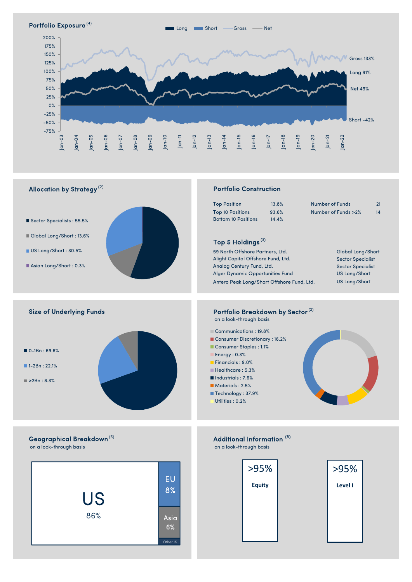



# US 86% EU 8% Asia 6%

| >95%          | >95%           |
|---------------|----------------|
| <b>Equity</b> | <b>Level I</b> |
|               |                |
|               |                |
|               |                |